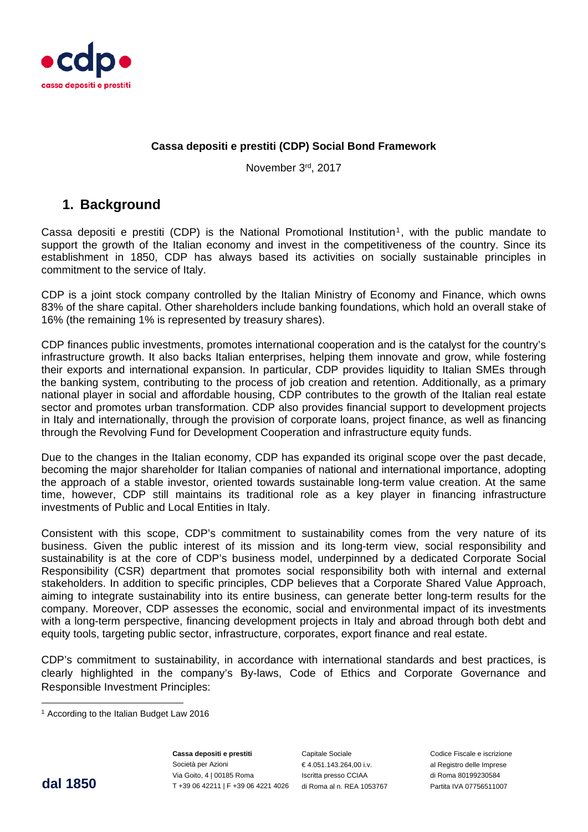

### **Cassa depositi e prestiti (CDP) Social Bond Framework**

November 3rd, 2017

# **1. Background**

Cassa depositi e prestiti (CDP) is the National Promotional Institution<sup>1</sup>, with the public mandate to support the growth of the Italian economy and invest in the competitiveness of the country. Since its establishment in 1850, CDP has always based its activities on socially sustainable principles in commitment to the service of Italy.

CDP is a joint stock company controlled by the Italian Ministry of Economy and Finance, which owns 83% of the share capital. Other shareholders include banking foundations, which hold an overall stake of 16% (the remaining 1% is represented by treasury shares).

CDP finances public investments, promotes international cooperation and is the catalyst for the country's infrastructure growth. It also backs Italian enterprises, helping them innovate and grow, while fostering their exports and international expansion. In particular, CDP provides liquidity to Italian SMEs through the banking system, contributing to the process of job creation and retention. Additionally, as a primary national player in social and affordable housing, CDP contributes to the growth of the Italian real estate sector and promotes urban transformation. CDP also provides financial support to development projects in Italy and internationally, through the provision of corporate loans, project finance, as well as financing through the Revolving Fund for Development Cooperation and infrastructure equity funds.

Due to the changes in the Italian economy, CDP has expanded its original scope over the past decade, becoming the major shareholder for Italian companies of national and international importance, adopting the approach of a stable investor, oriented towards sustainable long-term value creation. At the same time, however, CDP still maintains its traditional role as a key player in financing infrastructure investments of Public and Local Entities in Italy.

Consistent with this scope, CDP's commitment to sustainability comes from the very nature of its business. Given the public interest of its mission and its long-term view, social responsibility and sustainability is at the core of CDP's business model, underpinned by a dedicated Corporate Social Responsibility (CSR) department that promotes social responsibility both with internal and external stakeholders. In addition to specific principles, CDP believes that a Corporate Shared Value Approach, aiming to integrate sustainability into its entire business, can generate better long-term results for the company. Moreover, CDP assesses the economic, social and environmental impact of its investments with a long-term perspective, financing development projects in Italy and abroad through both debt and equity tools, targeting public sector, infrastructure, corporates, export finance and real estate.

CDP's commitment to sustainability, in accordance with international standards and best practices, is clearly highlighted in the company's By-laws, Code of Ethics and Corporate Governance and Responsible Investment Principles:

 

**dal 1850** The Call of the Call of the Call of the Call of the Call of the Team of the Team of the Team of the T<br>T +39 06 42211 | F +39 06 4221 4026 di Roma al n. REA 1053767 Partita IVA 07756511007 **Cassa depositi e prestiti**  Società per Azioni Via Goito, 4 | 00185 Roma

Capitale Sociale € 4.051.143.264,00 i.v. Iscritta presso CCIAA

Codice Fiscale e iscrizione al Registro delle Imprese di Roma 80199230584

<sup>1</sup> According to the Italian Budget Law 2016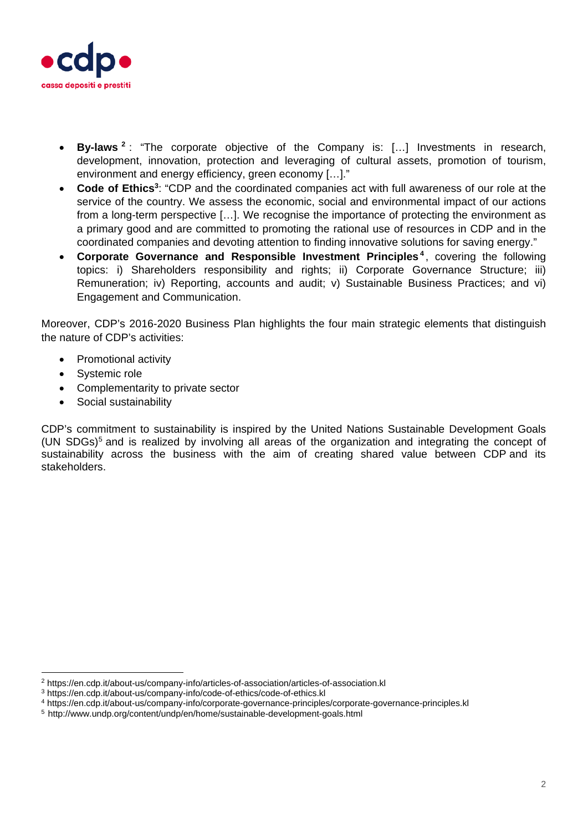

- **By-laws <sup>2</sup>** : "The corporate objective of the Company is: […] Investments in research, development, innovation, protection and leveraging of cultural assets, promotion of tourism, environment and energy efficiency, green economy […]."
- **Code of Ethics**<sup>3</sup>: "CDP and the coordinated companies act with full awareness of our role at the service of the country. We assess the economic, social and environmental impact of our actions from a long-term perspective […]. We recognise the importance of protecting the environment as a primary good and are committed to promoting the rational use of resources in CDP and in the coordinated companies and devoting attention to finding innovative solutions for saving energy."
- **Corporate Governance and Responsible Investment Principles <sup>4</sup>** , covering the following topics: i) Shareholders responsibility and rights; ii) Corporate Governance Structure; iii) Remuneration; iv) Reporting, accounts and audit; v) Sustainable Business Practices; and vi) Engagement and Communication.

Moreover, CDP's 2016-2020 Business Plan highlights the four main strategic elements that distinguish the nature of CDP's activities:

- Promotional activity
- Systemic role
- Complementarity to private sector
- Social sustainability

 

CDP's commitment to sustainability is inspired by the United Nations Sustainable Development Goals (UN SDGs)<sup>5</sup> and is realized by involving all areas of the organization and integrating the concept of sustainability across the business with the aim of creating shared value between CDP and its stakeholders.

<sup>&</sup>lt;sup>2</sup> https://en.cdp.it/about-us/company-info/articles-of-association/articles-of-association.kl<br><sup>3</sup> https://en.cdp.it/about-us/company-info/code-of-ethics/code-of-ethics.kl<br><sup>4</sup> https://en.cdp.it/about-us/company-info/corpor

<sup>5</sup> http://www.undp.org/content/undp/en/home/sustainable-development-goals.html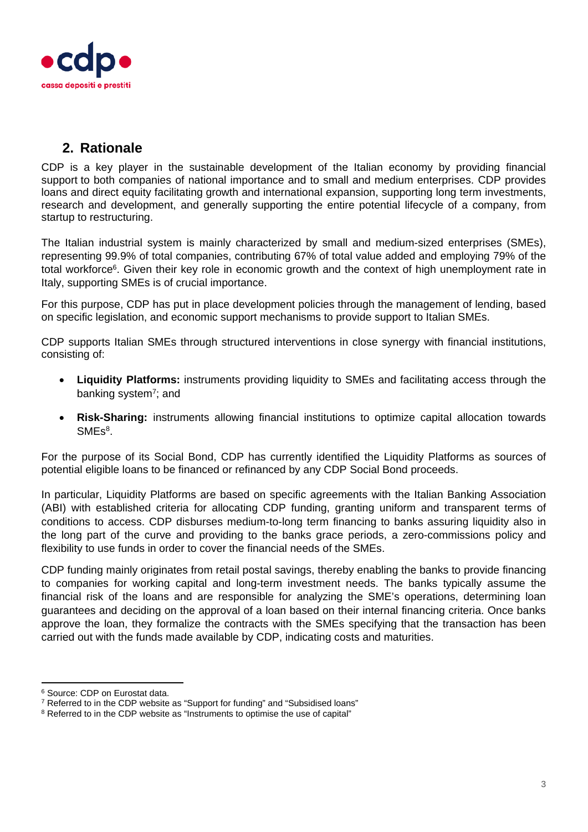

# **2. Rationale**

CDP is a key player in the sustainable development of the Italian economy by providing financial support to both companies of national importance and to small and medium enterprises. CDP provides loans and direct equity facilitating growth and international expansion, supporting long term investments, research and development, and generally supporting the entire potential lifecycle of a company, from startup to restructuring.

The Italian industrial system is mainly characterized by small and medium-sized enterprises (SMEs), representing 99.9% of total companies, contributing 67% of total value added and employing 79% of the total workforce<sup>6</sup>. Given their key role in economic growth and the context of high unemployment rate in Italy, supporting SMEs is of crucial importance.

For this purpose, CDP has put in place development policies through the management of lending, based on specific legislation, and economic support mechanisms to provide support to Italian SMEs.

CDP supports Italian SMEs through structured interventions in close synergy with financial institutions, consisting of:

- **Liquidity Platforms:** instruments providing liquidity to SMEs and facilitating access through the banking system<sup>7</sup>; and
- **Risk-Sharing:** instruments allowing financial institutions to optimize capital allocation towards  $SMEs<sup>8</sup>$ .

For the purpose of its Social Bond, CDP has currently identified the Liquidity Platforms as sources of potential eligible loans to be financed or refinanced by any CDP Social Bond proceeds.

In particular, Liquidity Platforms are based on specific agreements with the Italian Banking Association (ABI) with established criteria for allocating CDP funding, granting uniform and transparent terms of conditions to access. CDP disburses medium-to-long term financing to banks assuring liquidity also in the long part of the curve and providing to the banks grace periods, a zero-commissions policy and flexibility to use funds in order to cover the financial needs of the SMEs.

CDP funding mainly originates from retail postal savings, thereby enabling the banks to provide financing to companies for working capital and long-term investment needs. The banks typically assume the financial risk of the loans and are responsible for analyzing the SME's operations, determining loan guarantees and deciding on the approval of a loan based on their internal financing criteria. Once banks approve the loan, they formalize the contracts with the SMEs specifying that the transaction has been carried out with the funds made available by CDP, indicating costs and maturities.

 

<sup>6</sup> Source: CDP on Eurostat data.

<sup>7</sup> Referred to in the CDP website as "Support for funding" and "Subsidised loans"

<sup>&</sup>lt;sup>8</sup> Referred to in the CDP website as "Instruments to optimise the use of capital"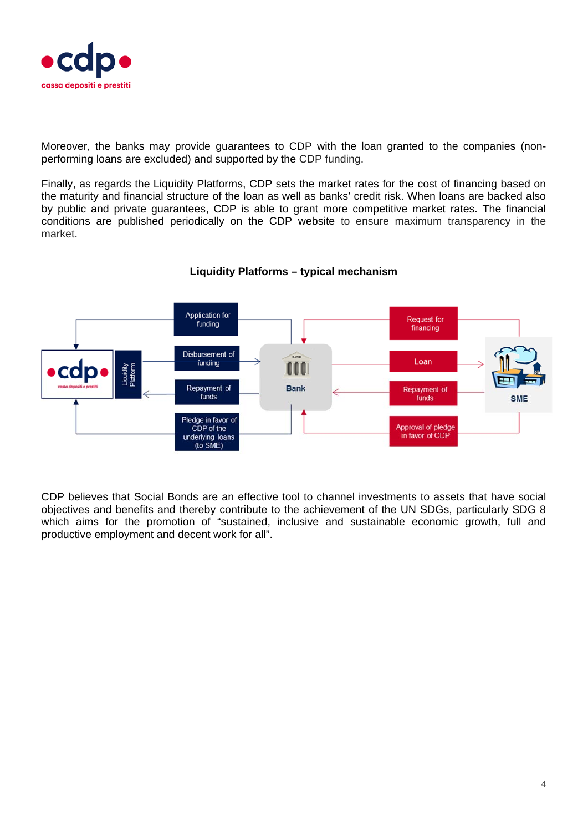

Moreover, the banks may provide guarantees to CDP with the loan granted to the companies (nonperforming loans are excluded) and supported by the CDP funding.

Finally, as regards the Liquidity Platforms, CDP sets the market rates for the cost of financing based on the maturity and financial structure of the loan as well as banks' credit risk. When loans are backed also by public and private guarantees, CDP is able to grant more competitive market rates. The financial conditions are published periodically on the CDP website to ensure maximum transparency in the market.



### **Liquidity Platforms – typical mechanism**

CDP believes that Social Bonds are an effective tool to channel investments to assets that have social objectives and benefits and thereby contribute to the achievement of the UN SDGs, particularly SDG 8 which aims for the promotion of "sustained, inclusive and sustainable economic growth, full and productive employment and decent work for all".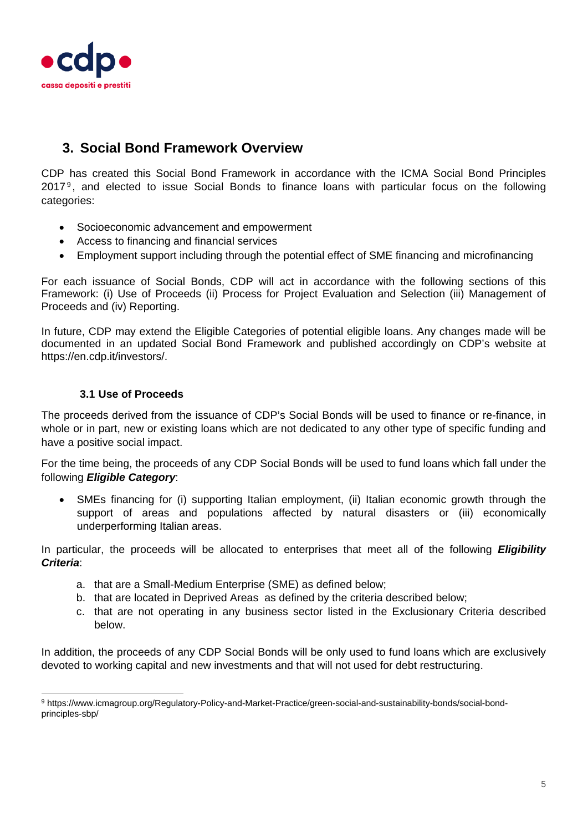

# **3. Social Bond Framework Overview**

CDP has created this Social Bond Framework in accordance with the ICMA Social Bond Principles 20179 , and elected to issue Social Bonds to finance loans with particular focus on the following categories:

- Socioeconomic advancement and empowerment
- Access to financing and financial services
- Employment support including through the potential effect of SME financing and microfinancing

For each issuance of Social Bonds, CDP will act in accordance with the following sections of this Framework: (i) Use of Proceeds (ii) Process for Project Evaluation and Selection (iii) Management of Proceeds and (iv) Reporting.

In future, CDP may extend the Eligible Categories of potential eligible loans. Any changes made will be documented in an updated Social Bond Framework and published accordingly on CDP's website at https://en.cdp.it/investors/.

#### **3.1 Use of Proceeds**

 

The proceeds derived from the issuance of CDP's Social Bonds will be used to finance or re-finance, in whole or in part, new or existing loans which are not dedicated to any other type of specific funding and have a positive social impact.

For the time being, the proceeds of any CDP Social Bonds will be used to fund loans which fall under the following *Eligible Category*:

 SMEs financing for (i) supporting Italian employment, (ii) Italian economic growth through the support of areas and populations affected by natural disasters or (iii) economically underperforming Italian areas.

In particular, the proceeds will be allocated to enterprises that meet all of the following *Eligibility Criteria*:

- a. that are a Small-Medium Enterprise (SME) as defined below;
- b. that are located in Deprived Areas as defined by the criteria described below;
- c. that are not operating in any business sector listed in the Exclusionary Criteria described below.

In addition, the proceeds of any CDP Social Bonds will be only used to fund loans which are exclusively devoted to working capital and new investments and that will not used for debt restructuring.

<sup>9</sup> https://www.icmagroup.org/Regulatory-Policy-and-Market-Practice/green-social-and-sustainability-bonds/social-bondprinciples-sbp/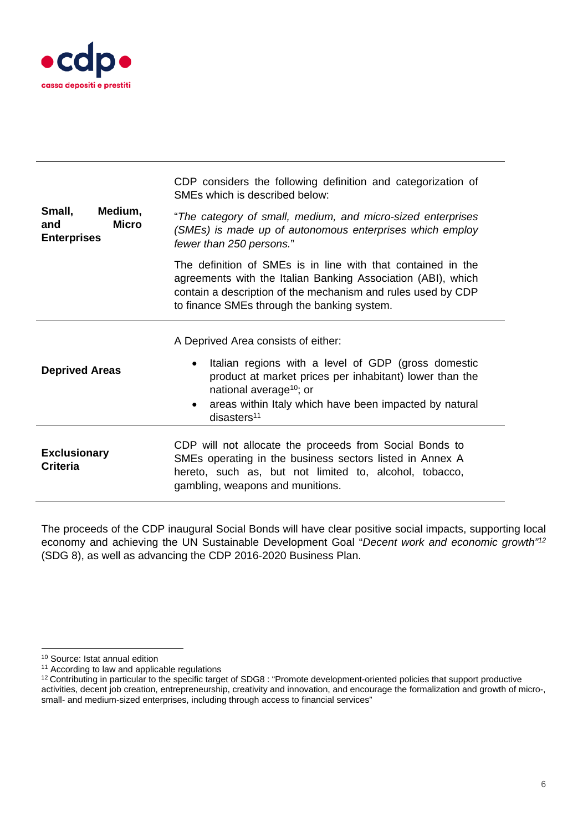

|                                                                | CDP considers the following definition and categorization of<br>SMEs which is described below:                                                                                                                                                               |
|----------------------------------------------------------------|--------------------------------------------------------------------------------------------------------------------------------------------------------------------------------------------------------------------------------------------------------------|
| Medium,<br>Small,<br><b>Micro</b><br>and<br><b>Enterprises</b> | "The category of small, medium, and micro-sized enterprises<br>(SMEs) is made up of autonomous enterprises which employ<br>fewer than 250 persons."                                                                                                          |
|                                                                | The definition of SMEs is in line with that contained in the<br>agreements with the Italian Banking Association (ABI), which<br>contain a description of the mechanism and rules used by CDP<br>to finance SMEs through the banking system.                  |
|                                                                | A Deprived Area consists of either:                                                                                                                                                                                                                          |
| <b>Deprived Areas</b>                                          | Italian regions with a level of GDP (gross domestic<br>٠<br>product at market prices per inhabitant) lower than the<br>national average <sup>10</sup> ; or<br>areas within Italy which have been impacted by natural<br>$\bullet$<br>disasters <sup>11</sup> |
|                                                                |                                                                                                                                                                                                                                                              |
| <b>Exclusionary</b><br><b>Criteria</b>                         | CDP will not allocate the proceeds from Social Bonds to<br>SMEs operating in the business sectors listed in Annex A<br>hereto, such as, but not limited to, alcohol, tobacco,<br>gambling, weapons and munitions.                                            |

The proceeds of the CDP inaugural Social Bonds will have clear positive social impacts, supporting local economy and achieving the UN Sustainable Development Goal "*Decent work and economic growth"12* (SDG 8), as well as advancing the CDP 2016-2020 Business Plan.

 

<sup>10</sup> Source: Istat annual edition

<sup>&</sup>lt;sup>11</sup> According to law and applicable regulations

<sup>12</sup> Contributing in particular to the specific target of SDG8 : "Promote development-oriented policies that support productive activities, decent job creation, entrepreneurship, creativity and innovation, and encourage the formalization and growth of micro-, small- and medium-sized enterprises, including through access to financial services"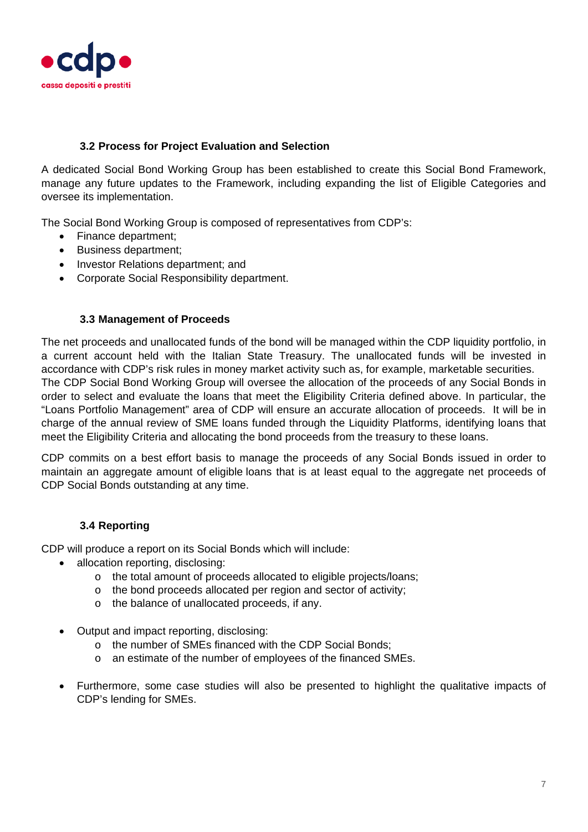

### **3.2 Process for Project Evaluation and Selection**

A dedicated Social Bond Working Group has been established to create this Social Bond Framework, manage any future updates to the Framework, including expanding the list of Eligible Categories and oversee its implementation.

The Social Bond Working Group is composed of representatives from CDP's:

- Finance department:
- Business department;
- Investor Relations department; and
- Corporate Social Responsibility department.

#### **3.3 Management of Proceeds**

The net proceeds and unallocated funds of the bond will be managed within the CDP liquidity portfolio, in a current account held with the Italian State Treasury. The unallocated funds will be invested in accordance with CDP's risk rules in money market activity such as, for example, marketable securities. The CDP Social Bond Working Group will oversee the allocation of the proceeds of any Social Bonds in order to select and evaluate the loans that meet the Eligibility Criteria defined above. In particular, the "Loans Portfolio Management" area of CDP will ensure an accurate allocation of proceeds. It will be in charge of the annual review of SME loans funded through the Liquidity Platforms, identifying loans that meet the Eligibility Criteria and allocating the bond proceeds from the treasury to these loans.

CDP commits on a best effort basis to manage the proceeds of any Social Bonds issued in order to maintain an aggregate amount of eligible loans that is at least equal to the aggregate net proceeds of CDP Social Bonds outstanding at any time.

### **3.4 Reporting**

CDP will produce a report on its Social Bonds which will include:

- allocation reporting, disclosing:
	- o the total amount of proceeds allocated to eligible projects/loans;
	- o the bond proceeds allocated per region and sector of activity;
	- o the balance of unallocated proceeds, if any.
- Output and impact reporting, disclosing:
	- o the number of SMEs financed with the CDP Social Bonds;
	- o an estimate of the number of employees of the financed SMEs.
- Furthermore, some case studies will also be presented to highlight the qualitative impacts of CDP's lending for SMEs.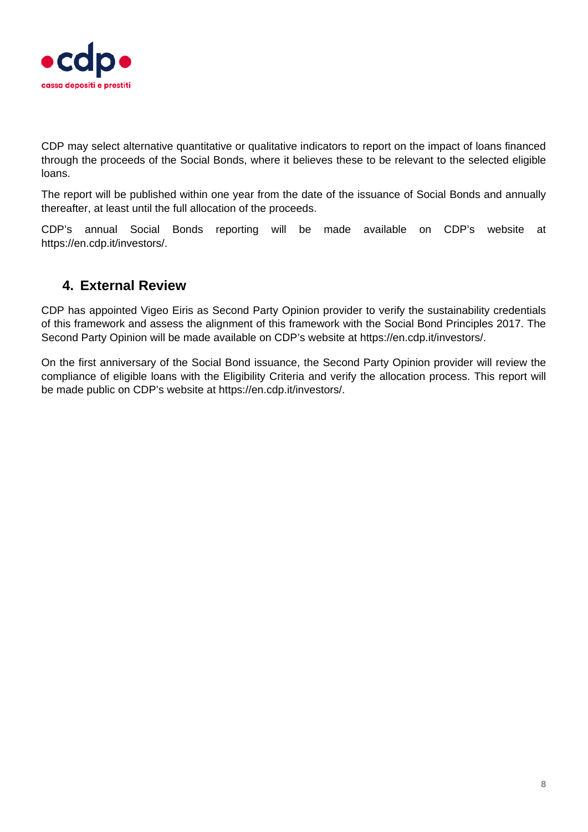

CDP may select alternative quantitative or qualitative indicators to report on the impact of loans financed through the proceeds of the Social Bonds, where it believes these to be relevant to the selected eligible loans.

The report will be published within one year from the date of the issuance of Social Bonds and annually thereafter, at least until the full allocation of the proceeds.

CDP's annual Social Bonds reporting will be made available on CDP's website at https://en.cdp.it/investors/.

# **4. External Review**

CDP has appointed Vigeo Eiris as Second Party Opinion provider to verify the sustainability credentials of this framework and assess the alignment of this framework with the Social Bond Principles 2017. The Second Party Opinion will be made available on CDP's website at https://en.cdp.it/investors/.

On the first anniversary of the Social Bond issuance, the Second Party Opinion provider will review the compliance of eligible loans with the Eligibility Criteria and verify the allocation process. This report will be made public on CDP's website at https://en.cdp.it/investors/.